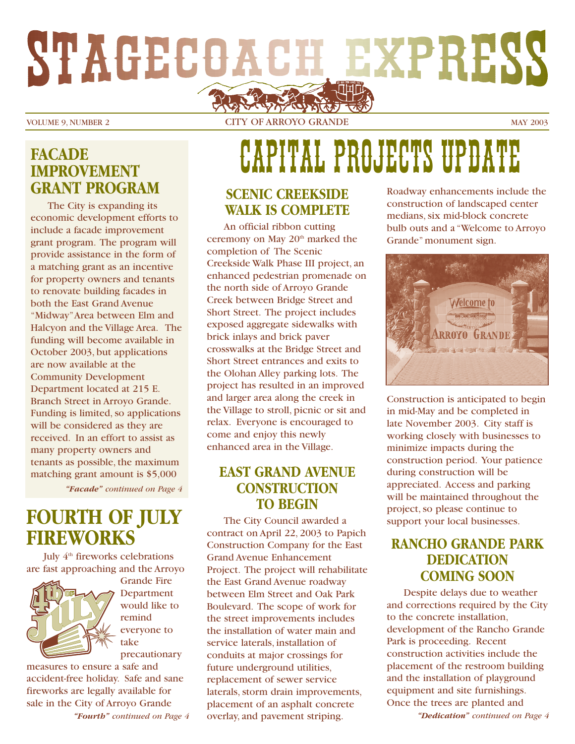# STAGECOACH EXPRESS

VOLUME 9, NUMBER 2 CITY OF ARROYO GRANDE MAY 2003

### **FACADE IMPROVEMENT GRANT PROGRAM**

The City is expanding its economic development efforts to include a facade improvement grant program. The program will provide assistance in the form of a matching grant as an incentive for property owners and tenants to renovate building facades in both the East Grand Avenue "Midway"Area between Elm and Halcyon and the Village Area. The funding will become available in October 2003, but applications are now available at the Community Development Department located at 215 E. Branch Street in Arroyo Grande. Funding is limited, so applications will be considered as they are received. In an effort to assist as many property owners and tenants as possible, the maximum matching grant amount is \$5,000

*"Facade" continued on Page 4*

### **FOURTH OF JULY FIREWORKS**

July 4<sup>th</sup> fireworks celebrations are fast approaching and the Arroyo



Grande Fire Department would like to remind everyone to take precautionary

measures to ensure a safe and accident-free holiday. Safe and sane fireworks are legally available for sale in the City of Arroyo Grande *"Fourth" continued on Page 4*

## CAPITAL PROJECTS UPDATE

### **SCENIC CREEKSIDE WALK IS COMPLETE**

An official ribbon cutting ceremony on May 20<sup>th</sup> marked the completion of The Scenic Creekside Walk Phase III project, an enhanced pedestrian promenade on the north side of Arroyo Grande Creek between Bridge Street and Short Street. The project includes exposed aggregate sidewalks with brick inlays and brick paver crosswalks at the Bridge Street and Short Street entrances and exits to the Olohan Alley parking lots. The project has resulted in an improved and larger area along the creek in the Village to stroll, picnic or sit and relax. Everyone is encouraged to come and enjoy this newly enhanced area in the Village.

### **EAST GRAND AVENUE CONSTRUCTION TO BEGIN**

The City Council awarded a contract on April 22, 2003 to Papich Construction Company for the East Grand Avenue Enhancement Project. The project will rehabilitate the East Grand Avenue roadway between Elm Street and Oak Park Boulevard. The scope of work for the street improvements includes the installation of water main and service laterals, installation of conduits at major crossings for future underground utilities, replacement of sewer service laterals, storm drain improvements, placement of an asphalt concrete overlay, and pavement striping. *"Dedication" continued on Page 4*

Roadway enhancements include the construction of landscaped center medians, six mid-block concrete bulb outs and a "Welcome to Arroyo Grande" monument sign.



Construction is anticipated to begin in mid-May and be completed in late November 2003. City staff is working closely with businesses to minimize impacts during the construction period. Your patience during construction will be appreciated. Access and parking will be maintained throughout the project, so please continue to support your local businesses.

### **RANCHO GRANDE PARK DEDICATION COMING SOON**

Despite delays due to weather and corrections required by the City to the concrete installation, development of the Rancho Grande Park is proceeding. Recent construction activities include the placement of the restroom building and the installation of playground equipment and site furnishings. Once the trees are planted and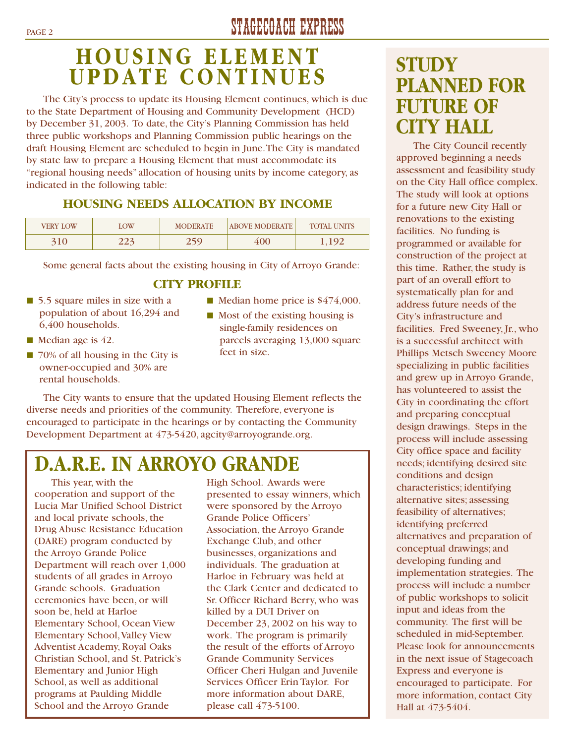## PAGE 2 STAGECOACH EXPRESS

## **HOUSING ELEMENT UPDATE CONTINUES**

The City's process to update its Housing Element continues, which is due to the State Department of Housing and Community Development (HCD) by December 31, 2003. To date, the City's Planning Commission has held three public workshops and Planning Commission public hearings on the draft Housing Element are scheduled to begin in June.The City is mandated by state law to prepare a Housing Element that must accommodate its "regional housing needs" allocation of housing units by income category, as indicated in the following table:

### **HOUSING NEEDS ALLOCATION BY INCOME**

| VERY LOW | LOW | <b>MODERATE</b> | <b>ABOVE MODERATE</b> | <b>TOTAL UNITS</b> |
|----------|-----|-----------------|-----------------------|--------------------|
|          | 223 | 250             | 400                   |                    |

Some general facts about the existing housing in City of Arroyo Grande:

### **CITY PROFILE**

- 5.5 square miles in size with a population of about 16,294 and 6,400 households.
- Median age is 42.
- 70% of all housing in the City is owner-occupied and 30% are rental households.
- Median home price is  $$474,000$ .
- Most of the existing housing is single-family residences on parcels averaging 13,000 square feet in size.

The City wants to ensure that the updated Housing Element reflects the diverse needs and priorities of the community. Therefore, everyone is encouraged to participate in the hearings or by contacting the Community Development Department at 473-5420, agcity@arroyogrande.org.

## **D.A.R.E. IN ARROYO GRANDE**

This year, with the cooperation and support of the Lucia Mar Unified School District and local private schools, the Drug Abuse Resistance Education (DARE) program conducted by the Arroyo Grande Police Department will reach over 1,000 students of all grades in Arroyo Grande schools. Graduation ceremonies have been, or will soon be, held at Harloe Elementary School, Ocean View Elementary School,Valley View Adventist Academy, Royal Oaks Christian School, and St. Patrick's Elementary and Junior High School, as well as additional programs at Paulding Middle School and the Arroyo Grande

High School. Awards were presented to essay winners, which were sponsored by the Arroyo Grande Police Officers' Association, the Arroyo Grande Exchange Club, and other businesses, organizations and individuals. The graduation at Harloe in February was held at the Clark Center and dedicated to Sr. Officer Richard Berry, who was killed by a DUI Driver on December 23, 2002 on his way to work. The program is primarily the result of the efforts of Arroyo Grande Community Services Officer Cheri Hulgan and Juvenile Services Officer Erin Taylor. For more information about DARE, please call 473-5100.

## **STUDY PLANNED FOR FUTURE OF CITY HALL**

The City Council recently approved beginning a needs assessment and feasibility study on the City Hall office complex. The study will look at options for a future new City Hall or renovations to the existing facilities. No funding is programmed or available for construction of the project at this time. Rather, the study is part of an overall effort to systematically plan for and address future needs of the City's infrastructure and facilities. Fred Sweeney, Jr., who is a successful architect with Phillips Metsch Sweeney Moore specializing in public facilities and grew up in Arroyo Grande, has volunteered to assist the City in coordinating the effort and preparing conceptual design drawings. Steps in the process will include assessing City office space and facility needs; identifying desired site conditions and design characteristics; identifying alternative sites; assessing feasibility of alternatives; identifying preferred alternatives and preparation of conceptual drawings; and developing funding and implementation strategies. The process will include a number of public workshops to solicit input and ideas from the community. The first will be scheduled in mid-September. Please look for announcements in the next issue of Stagecoach Express and everyone is encouraged to participate. For more information, contact City Hall at 473-5404.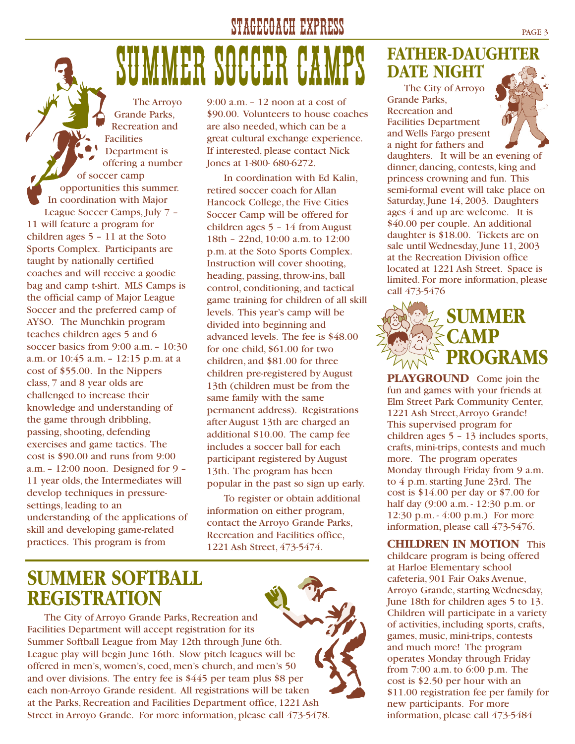### STAGECOACH EXPRESS PAGE 3

## SUMMER SOCCER

The Arroyo Grande Parks, Recreation and Facilities Department is offering a number of soccer camp opportunities this summer. In coordination with Major League Soccer Camps, July 7 –

11 will feature a program for children ages 5 – 11 at the Soto Sports Complex. Participants are taught by nationally certified coaches and will receive a goodie bag and camp t-shirt. MLS Camps is the official camp of Major League Soccer and the preferred camp of AYSO. The Munchkin program teaches children ages 5 and 6 soccer basics from 9:00 a.m. – 10:30 a.m. or 10:45 a.m. – 12:15 p.m. at a cost of \$55.00. In the Nippers class, 7 and 8 year olds are challenged to increase their knowledge and understanding of the game through dribbling, passing, shooting, defending exercises and game tactics. The cost is \$90.00 and runs from 9:00 a.m. – 12:00 noon. Designed for 9 – 11 year olds, the Intermediates will develop techniques in pressuresettings, leading to an understanding of the applications of skill and developing game-related practices. This program is from

9:00 a.m. – 12 noon at a cost of \$90.00. Volunteers to house coaches are also needed, which can be a great cultural exchange experience. If interested, please contact Nick Jones at 1-800- 680-6272.

In coordination with Ed Kalin, retired soccer coach for Allan Hancock College, the Five Cities Soccer Camp will be offered for children ages 5 – 14 from August 18th – 22nd, 10:00 a.m. to 12:00 p.m. at the Soto Sports Complex. Instruction will cover shooting, heading, passing, throw-ins, ball control, conditioning, and tactical game training for children of all skill levels. This year's camp will be divided into beginning and advanced levels. The fee is \$48.00 for one child, \$61.00 for two children, and \$81.00 for three children pre-registered by August 13th (children must be from the same family with the same permanent address). Registrations after August 13th are charged an additional \$10.00. The camp fee includes a soccer ball for each participant registered by August 13th. The program has been popular in the past so sign up early.

To register or obtain additional information on either program, contact the Arroyo Grande Parks, Recreation and Facilities office, 1221 Ash Street, 473-5474.



The City of Arroyo Grande Parks, Recreation and Facilities Department will accept registration for its Summer Softball League from May 12th through June 6th. League play will begin June 16th. Slow pitch leagues will be offered in men's, women's, coed, men's church, and men's 50 and over divisions. The entry fee is \$445 per team plus \$8 per each non-Arroyo Grande resident. All registrations will be taken at the Parks, Recreation and Facilities Department office, 1221 Ash Street in Arroyo Grande. For more information, please call 473-5478.

### **FATHER-DAUGHTER DATE NIGHT**

The City of Arroyo Grande Parks, Recreation and Facilities Department and Wells Fargo present a night for fathers and



daughters. It will be an evening of dinner, dancing, contests, king and princess crowning and fun. This semi-formal event will take place on Saturday, June 14, 2003. Daughters ages 4 and up are welcome. It is \$40.00 per couple. An additional daughter is \$18.00. Tickets are on sale until Wednesday, June 11, 2003 at the Recreation Division office located at 1221 Ash Street. Space is limited. For more information, please call 473-5476

## **SUMMER CAMP PROGRAMS**

**PLAYGROUND** Come join the fun and games with your friends at Elm Street Park Community Center, 1221 Ash Street,Arroyo Grande! This supervised program for children ages 5 – 13 includes sports, crafts, mini-trips, contests and much more. The program operates Monday through Friday from 9 a.m. to 4 p.m. starting June 23rd. The cost is \$14.00 per day or \$7.00 for half day (9:00 a.m. - 12:30 p.m. or 12:30 p.m. - 4:00 p.m.) For more information, please call 473-5476.

**CHILDREN IN MOTION** This childcare program is being offered at Harloe Elementary school cafeteria, 901 Fair Oaks Avenue, Arroyo Grande, starting Wednesday, June 18th for children ages 5 to 13. Children will participate in a variety of activities, including sports, crafts, games, music, mini-trips, contests and much more! The program operates Monday through Friday from 7:00 a.m. to 6:00 p.m. The cost is \$2.50 per hour with an \$11.00 registration fee per family for new participants. For more information, please call 473-5484